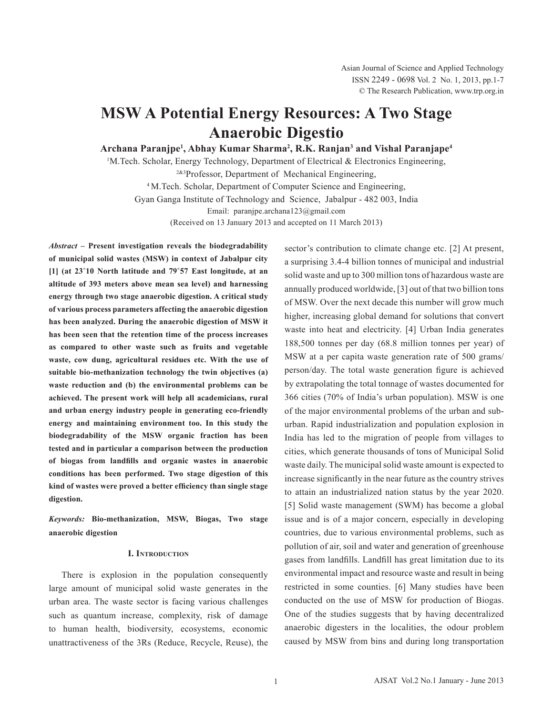# **MSW A Potential Energy Resources: A Two Stage Anaerobic Digestio**

**Archana Paranjpe1 , Abhay Kumar Sharma2 , R.K. Ranjan3 and Vishal Paranjape4**

<sup>1</sup>M.Tech. Scholar, Energy Technology, Department of Electrical & Electronics Engineering,

2&3Professor, Department of Mechanical Engineering,

4 M.Tech. Scholar, Department of Computer Science and Engineering,

Gyan Ganga Institute of Technology and Science, Jabalpur - 482 003, India

Email: paranjpe.archana123@gmail.com

(Received on 13 January 2013 and accepted on 11 March 2013)

*Abstract* **– Present investigation reveals the biodegradability of municipal solid wastes (MSW) in context of Jabalpur city [1] (at 23˚10 North latitude and 79˚57 East longitude, at an altitude of 393 meters above mean sea level) and harnessing energy through two stage anaerobic digestion. A critical study of various process parameters affecting the anaerobic digestion has been analyzed. During the anaerobic digestion of MSW it has been seen that the retention time of the process increases as compared to other waste such as fruits and vegetable waste, cow dung, agricultural residues etc. With the use of suitable bio-methanization technology the twin objectives (a) waste reduction and (b) the environmental problems can be achieved. The present work will help all academicians, rural and urban energy industry people in generating eco-friendly energy and maintaining environment too. In this study the biodegradability of the MSW organic fraction has been tested and in particular a comparison between the production of biogas from landfills and organic wastes in anaerobic conditions has been performed. Two stage digestion of this kind of wastes were proved a better efficiency than single stage digestion.** 

*Keywords:* **Bio-methanization, MSW, Biogas, Two stage anaerobic digestion** 

#### **I. Introduction**

There is explosion in the population consequently large amount of municipal solid waste generates in the urban area. The waste sector is facing various challenges such as quantum increase, complexity, risk of damage to human health, biodiversity, ecosystems, economic unattractiveness of the 3Rs (Reduce, Recycle, Reuse), the sector's contribution to climate change etc. [2] At present, a surprising 3.4-4 billion tonnes of municipal and industrial solid waste and up to 300 million tons of hazardous waste are annually produced worldwide, [3] out of that two billion tons of MSW. Over the next decade this number will grow much higher, increasing global demand for solutions that convert waste into heat and electricity. [4] Urban India generates 188,500 tonnes per day (68.8 million tonnes per year) of MSW at a per capita waste generation rate of 500 grams/ person/day. The total waste generation figure is achieved by extrapolating the total tonnage of wastes documented for 366 cities (70% of India's urban population). MSW is one of the major environmental problems of the urban and suburban. Rapid industrialization and population explosion in India has led to the migration of people from villages to cities, which generate thousands of tons of Municipal Solid waste daily. The municipal solid waste amount is expected to increase significantly in the near future as the country strives to attain an industrialized nation status by the year 2020. [5] Solid waste management (SWM) has become a global issue and is of a major concern, especially in developing countries, due to various environmental problems, such as pollution of air, soil and water and generation of greenhouse gases from landfills. Landfill has great limitation due to its environmental impact and resource waste and result in being restricted in some counties. [6] Many studies have been conducted on the use of MSW for production of Biogas. One of the studies suggests that by having decentralized anaerobic digesters in the localities, the odour problem caused by MSW from bins and during long transportation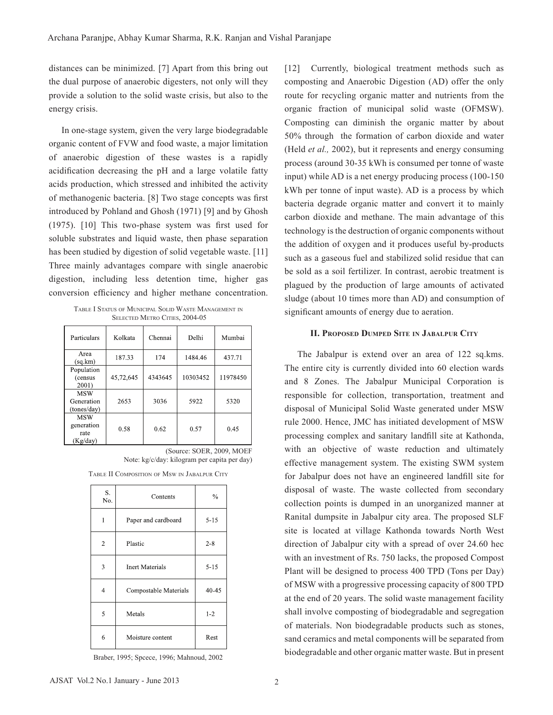distances can be minimized. [7] Apart from this bring out the dual purpose of anaerobic digesters, not only will they provide a solution to the solid waste crisis, but also to the energy crisis.

In one-stage system, given the very large biodegradable organic content of FVW and food waste, a major limitation of anaerobic digestion of these wastes is a rapidly acidification decreasing the pH and a large volatile fatty acids production, which stressed and inhibited the activity of methanogenic bacteria. [8] Two stage concepts was first introduced by Pohland and Ghosh (1971) [9] and by Ghosh (1975). [10] This two-phase system was first used for soluble substrates and liquid waste, then phase separation has been studied by digestion of solid vegetable waste. [11] Three mainly advantages compare with single anaerobic digestion, including less detention time, higher gas conversion efficiency and higher methane concentration.

Table I Status of Municipal Solid Waste Management in SELECTED METRO CITIES, 2004-05

| Particulars                                  | Kolkata   | Chennai | Delhi    | Mumbai   |
|----------------------------------------------|-----------|---------|----------|----------|
| Area<br>(sq, km)                             | 187.33    | 174     | 1484.46  | 437.71   |
| Population<br>(census<br>2001)               | 45,72,645 | 4343645 | 10303452 | 11978450 |
| <b>MSW</b><br>Generation<br>(tones/day)      | 2653      | 3036    | 5922     | 5320     |
| <b>MSW</b><br>generation<br>rate<br>(Kg/day) | 0.58      | 0.62    | 0.57     | 0.45     |

(Source: SOER, 2009, MOEF Note: kg/c/day: kilogram per capita per day)

Table II Composition of Msw in Jabalpur City

| S.<br>No.      | Contents              | $\%$     |
|----------------|-----------------------|----------|
| 1              | Paper and cardboard   | $5 - 15$ |
| $\overline{2}$ | Plastic               | $2 - 8$  |
| 3              | Inert Materials       | $5 - 15$ |
| 4              | Compostable Materials | 40-45    |
| 5              | Metals                | $1-2$    |
| 6              | Moisture content      | Rest     |

Braber, 1995; Spcece, 1996; Mahnoud, 2002

[12] Currently, biological treatment methods such as composting and Anaerobic Digestion (AD) offer the only route for recycling organic matter and nutrients from the organic fraction of municipal solid waste (OFMSW). Composting can diminish the organic matter by about 50% through the formation of carbon dioxide and water (Held *et al.,* 2002), but it represents and energy consuming process (around 30-35 kWh is consumed per tonne of waste input) while AD is a net energy producing process (100-150 kWh per tonne of input waste). AD is a process by which bacteria degrade organic matter and convert it to mainly carbon dioxide and methane. The main advantage of this technology is the destruction of organic components without the addition of oxygen and it produces useful by-products such as a gaseous fuel and stabilized solid residue that can be sold as a soil fertilizer. In contrast, aerobic treatment is plagued by the production of large amounts of activated sludge (about 10 times more than AD) and consumption of significant amounts of energy due to aeration.

#### **II. Proposed Dumped Site in Jabalpur City**

The Jabalpur is extend over an area of 122 sq.kms. The entire city is currently divided into 60 election wards and 8 Zones. The Jabalpur Municipal Corporation is responsible for collection, transportation, treatment and disposal of Municipal Solid Waste generated under MSW rule 2000. Hence, JMC has initiated development of MSW processing complex and sanitary landfill site at Kathonda, with an objective of waste reduction and ultimately effective management system. The existing SWM system for Jabalpur does not have an engineered landfill site for disposal of waste. The waste collected from secondary collection points is dumped in an unorganized manner at Ranital dumpsite in Jabalpur city area. The proposed SLF site is located at village Kathonda towards North West direction of Jabalpur city with a spread of over 24.60 hec with an investment of Rs. 750 lacks, the proposed Compost Plant will be designed to process 400 TPD (Tons per Day) of MSW with a progressive processing capacity of 800 TPD at the end of 20 years. The solid waste management facility shall involve composting of biodegradable and segregation of materials. Non biodegradable products such as stones, sand ceramics and metal components will be separated from biodegradable and other organic matter waste. But in present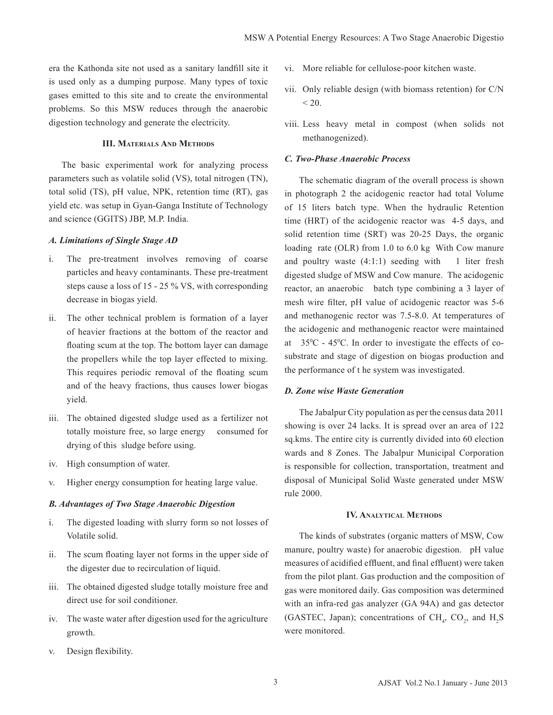era the Kathonda site not used as a sanitary landfill site it is used only as a dumping purpose. Many types of toxic gases emitted to this site and to create the environmental problems. So this MSW reduces through the anaerobic digestion technology and generate the electricity.

## **III. Materials And Methods**

The basic experimental work for analyzing process parameters such as volatile solid (VS), total nitrogen (TN), total solid (TS), pH value, NPK, retention time (RT), gas yield etc. was setup in Gyan-Ganga Institute of Technology and science (GGITS) JBP, M.P. India.

### *A. Limitations of Single Stage AD*

- i. The pre-treatment involves removing of coarse particles and heavy contaminants. These pre-treatment steps cause a loss of 15 - 25 % VS, with corresponding decrease in biogas yield.
- ii. The other technical problem is formation of a layer of heavier fractions at the bottom of the reactor and floating scum at the top. The bottom layer can damage the propellers while the top layer effected to mixing. This requires periodic removal of the floating scum and of the heavy fractions, thus causes lower biogas yield.
- iii. The obtained digested sludge used as a fertilizer not totally moisture free, so large energy consumed for drying of this sludge before using.
- iv. High consumption of water.
- v. Higher energy consumption for heating large value.

#### *B. Advantages of Two Stage Anaerobic Digestion*

- i. The digested loading with slurry form so not losses of Volatile solid.
- ii. The scum floating layer not forms in the upper side of the digester due to recirculation of liquid.
- iii. The obtained digested sludge totally moisture free and direct use for soil conditioner.
- iv. The waste water after digestion used for the agriculture growth.
- v. Design flexibility.
- vi. More reliable for cellulose-poor kitchen waste.
- vii. Only reliable design (with biomass retention) for C/N  $< 20.$
- viii. Less heavy metal in compost (when solids not methanogenized).

## *C. Two-Phase Anaerobic Process*

The schematic diagram of the overall process is shown in photograph 2 the acidogenic reactor had total Volume of 15 liters batch type. When the hydraulic Retention time (HRT) of the acidogenic reactor was 4-5 days, and solid retention time (SRT) was 20-25 Days, the organic loading rate (OLR) from 1.0 to 6.0 kg With Cow manure and poultry waste  $(4:1:1)$  seeding with 1 liter fresh digested sludge of MSW and Cow manure. The acidogenic reactor, an anaerobic batch type combining a 3 layer of mesh wire filter, pH value of acidogenic reactor was 5-6 and methanogenic rector was 7.5-8.0. At temperatures of the acidogenic and methanogenic reactor were maintained at  $35^{\circ}$ C - 45<sup>°</sup>C. In order to investigate the effects of cosubstrate and stage of digestion on biogas production and the performance of t he system was investigated.

#### *D. Zone wise Waste Generation*

The Jabalpur City population as per the census data 2011 showing is over 24 lacks. It is spread over an area of 122 sq.kms. The entire city is currently divided into 60 election wards and 8 Zones. The Jabalpur Municipal Corporation is responsible for collection, transportation, treatment and disposal of Municipal Solid Waste generated under MSW rule 2000.

#### **IV. Analytical Methods**

The kinds of substrates (organic matters of MSW, Cow manure, poultry waste) for anaerobic digestion. pH value measures of acidified effluent, and final effluent) were taken from the pilot plant. Gas production and the composition of gas were monitored daily. Gas composition was determined with an infra-red gas analyzer (GA 94A) and gas detector (GASTEC, Japan); concentrations of  $CH_4$ ,  $CO_2$ , and  $H_2S$ were monitored.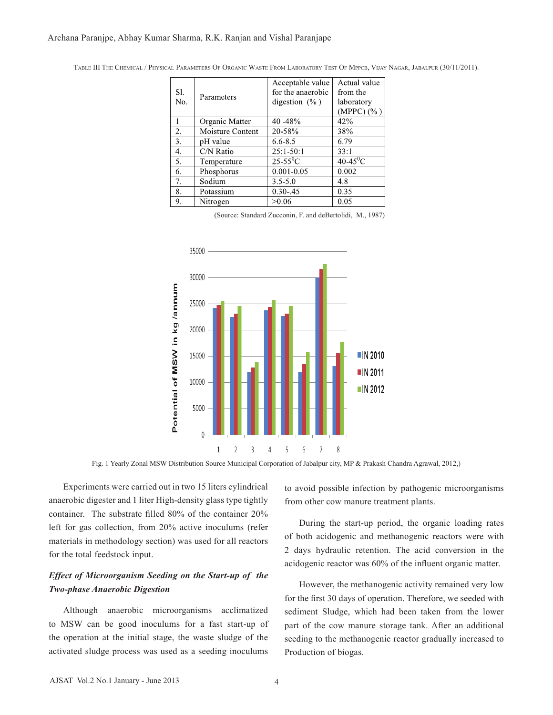Table III The Chemical / Physical Parameters Of Organic Waste From Laboratory Test Of Mppcb, Vijay Nagar, Jabalpur (30/11/2011).

|                  |                  | Acceptable value       | Actual value     |
|------------------|------------------|------------------------|------------------|
| S1.<br>No.       | Parameters       | for the anaerobic      | from the         |
|                  |                  | digestion $(\% )$      | laboratory       |
|                  |                  |                        | (MPPC) (%)       |
|                  | Organic Matter   | 40 - 48%               | 42%              |
| $\overline{2}$ . | Moisture Content | 20-58%                 | 38%              |
| 3.               | pH value         | $6.6 - 8.5$            | 6.79             |
| 4.               | $C/N$ Ratio      | $25:1-50:1$            | 33:1             |
| 5.               | Temperature      | $25-55$ <sup>o</sup> C | $40-45\degree C$ |
| 6.               | Phosphorus       | $0.001 - 0.05$         | 0.002            |
| 7.               | Sodium           | $3.5 - 5.0$            | 4.8              |
| 8.               | Potassium        | $0.30 - .45$           | 0.35             |
| 9.               | Nitrogen         | >0.06                  | 0.05             |

(Source: Standard Zucconin, F. and deBertolidi, M., 1987)



Fig. 1 Yearly Zonal MSW Distribution Source Municipal Corporation of Jabalpur city, MP & Prakash Chandra Agrawal, 2012,)

Experiments were carried out in two 15 liters cylindrical anaerobic digester and 1 liter High-density glass type tightly container. The substrate filled 80% of the container 20% left for gas collection, from 20% active inoculums (refer materials in methodology section) was used for all reactors for the total feedstock input.

## *Effect of Microorganism Seeding on the Start-up of the Two-phase Anaerobic Digestion*

Although anaerobic microorganisms acclimatized to MSW can be good inoculums for a fast start-up of the operation at the initial stage, the waste sludge of the activated sludge process was used as a seeding inoculums

to avoid possible infection by pathogenic microorganisms from other cow manure treatment plants.

During the start-up period, the organic loading rates of both acidogenic and methanogenic reactors were with 2 days hydraulic retention. The acid conversion in the acidogenic reactor was 60% of the influent organic matter.

However, the methanogenic activity remained very low for the first 30 days of operation. Therefore, we seeded with sediment Sludge, which had been taken from the lower part of the cow manure storage tank. After an additional seeding to the methanogenic reactor gradually increased to Production of biogas.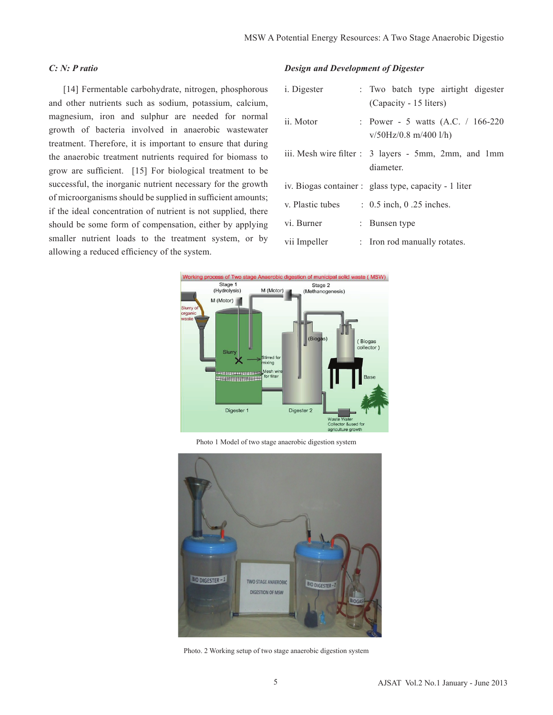## *C: N: P ratio*

[14] Fermentable carbohydrate, nitrogen, phosphorous and other nutrients such as sodium, potassium, calcium, magnesium, iron and sulphur are needed for normal growth of bacteria involved in anaerobic wastewater treatment. Therefore, it is important to ensure that during the anaerobic treatment nutrients required for biomass to grow are sufficient. [15] For biological treatment to be successful, the inorganic nutrient necessary for the growth of microorganisms should be supplied in sufficient amounts; if the ideal concentration of nutrient is not supplied, there should be some form of compensation, either by applying smaller nutrient loads to the treatment system, or by allowing a reduced efficiency of the system.

### *Design and Development of Digester*

| i. Digester      | : Two batch type airtight digester<br>(Capacity - 15 liters)      |
|------------------|-------------------------------------------------------------------|
| ii. Motor        | : Power - 5 watts $(A.C. / 166-220)$<br>$v/50$ Hz/0.8 m/400 l/h)  |
|                  | iii. Mesh wire filter : 3 layers - 5mm, 2mm, and 1mm<br>diameter. |
|                  | iv. Biogas container : glass type, capacity - 1 liter             |
| v. Plastic tubes | $\therefore$ 0.5 inch, 0.25 inches.                               |
| vi. Burner       | : Bunsen type                                                     |
| vii Impeller     | : Iron rod manually rotates.                                      |



Photo 1 Model of two stage anaerobic digestion system



Photo. 2 Working setup of two stage anaerobic digestion system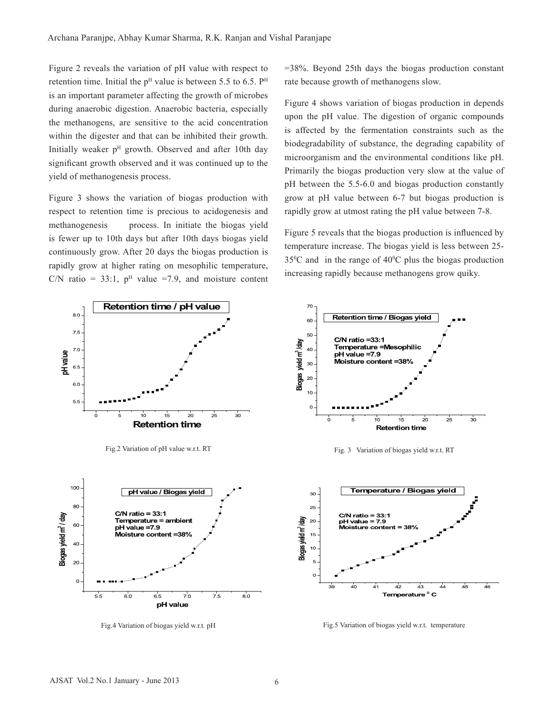Figure 2 reveals the variation of pH value with respect to retention time. Initial the  $p<sup>H</sup>$  value is between 5.5 to 6.5.  $P<sup>H</sup>$ is an important parameter affecting the growth of microbes during anaerobic digestion. Anaerobic bacteria, especially the methanogens, are sensitive to the acid concentration within the digester and that can be inhibited their growth. Initially weaker  $p<sup>H</sup>$  growth. Observed and after 10th day significant growth observed and it was continued up to the yield of methanogenesis process.

Figure 3 shows the variation of biogas production with respect to retention time is precious to acidogenesis and methanogenesis process. In initiate the biogas yield is fewer up to 10th days but after 10th days biogas yield continuously grow. After 20 days the biogas production is rapidly grow at higher rating on mesophilic temperature, C/N ratio = 33:1,  $p<sup>H</sup>$  value =7.9, and moisture content =38%. Beyond 25th days the biogas production constant rate because growth of methanogens slow.

Figure 4 shows variation of biogas production in depends upon the pH value. The digestion of organic compounds is affected by the fermentation constraints such as the biodegradability of substance, the degrading capability of microorganism and the environmental conditions like pH. Primarily the biogas production very slow at the value of pH between the 5.5-6.0 and biogas production constantly grow at pH value between 6-7 but biogas production is rapidly grow at utmost rating the pH value between 7-8.

Figure 5 reveals that the biogas production is influenced by temperature increase. The biogas yield is less between 25-  $35^{\circ}$ C and in the range of  $40^{\circ}$ C plus the biogas production increasing rapidly because methanogens grow quiky.



Fig.4 Variation of biogas yield w.r.t. pH Fig.5 Variation of biogas yield w.r.t. temperature